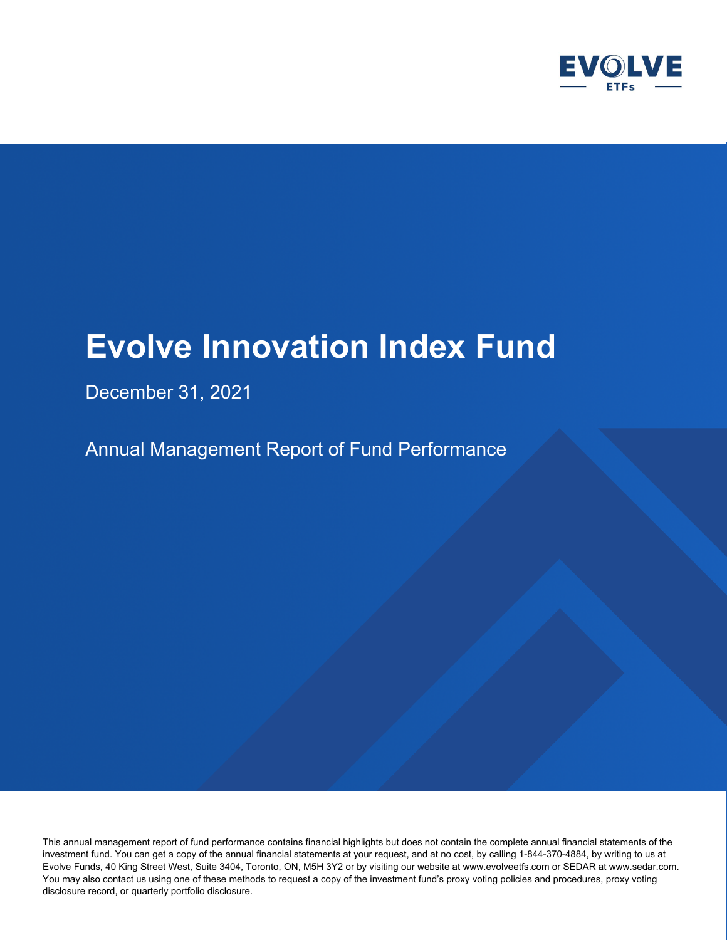

# December 31, 2021

Annual Management Report of Fund Performance

This annual management report of fund performance contains financial highlights but does not contain the complete annual financial statements of the investment fund. You can get a copy of the annual financial statements at your request, and at no cost, by calling 1-844-370-4884, by writing to us at Evolve Funds, 40 King Street West, Suite 3404, Toronto, ON, M5H 3Y2 or by visiting our website at www.evolveetfs.com or SEDAR at www.sedar.com. You may also contact us using one of these methods to request a copy of the investment fund's proxy voting policies and procedures, proxy voting disclosure record, or quarterly portfolio disclosure.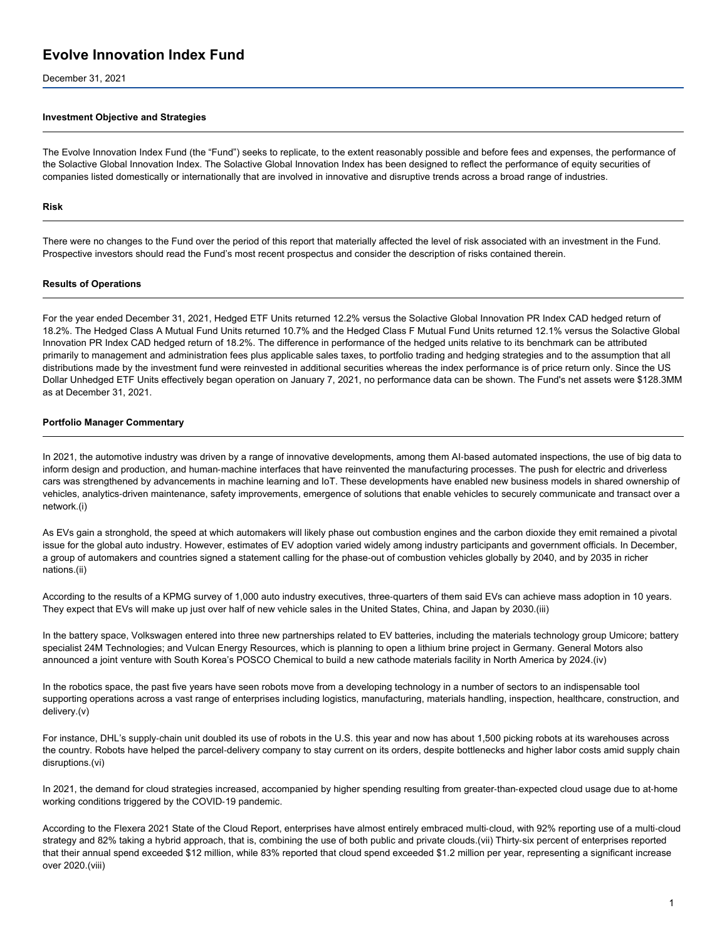December 31, 2021

#### **Investment Objective and Strategies**

The Evolve Innovation Index Fund (the "Fund") seeks to replicate, to the extent reasonably possible and before fees and expenses, the performance of the Solactive Global Innovation Index. The Solactive Global Innovation Index has been designed to reflect the performance of equity securities of companies listed domestically or internationally that are involved in innovative and disruptive trends across a broad range of industries.

#### **Risk**

There were no changes to the Fund over the period of this report that materially affected the level of risk associated with an investment in the Fund. Prospective investors should read the Fund's most recent prospectus and consider the description of risks contained therein.

#### **Results of Operations**

For the year ended December 31, 2021, Hedged ETF Units returned 12.2% versus the Solactive Global Innovation PR Index CAD hedged return of 18.2%. The Hedged Class A Mutual Fund Units returned 10.7% and the Hedged Class F Mutual Fund Units returned 12.1% versus the Solactive Global Innovation PR Index CAD hedged return of 18.2%. The difference in performance of the hedged units relative to its benchmark can be attributed primarily to management and administration fees plus applicable sales taxes, to portfolio trading and hedging strategies and to the assumption that all distributions made by the investment fund were reinvested in additional securities whereas the index performance is of price return only. Since the US Dollar Unhedged ETF Units effectively began operation on January 7, 2021, no performance data can be shown. The Fund's net assets were \$128.3MM as at December 31, 2021.

#### **Portfolio Manager Commentary**

In 2021, the automotive industry was driven by a range of innovative developments, among them AI-based automated inspections, the use of big data to inform design and production, and human-machine interfaces that have reinvented the manufacturing processes. The push for electric and driverless cars was strengthened by advancements in machine learning and IoT. These developments have enabled new business models in shared ownership of vehicles, analytics‑driven maintenance, safety improvements, emergence of solutions that enable vehicles to securely communicate and transact over a network.(i)

As EVs gain a stronghold, the speed at which automakers will likely phase out combustion engines and the carbon dioxide they emit remained a pivotal issue for the global auto industry. However, estimates of EV adoption varied widely among industry participants and government officials. In December, a group of automakers and countries signed a statement calling for the phase-out of combustion vehicles globally by 2040, and by 2035 in richer nations.(ii)

According to the results of a KPMG survey of 1,000 auto industry executives, three-quarters of them said EVs can achieve mass adoption in 10 years. They expect that EVs will make up just over half of new vehicle sales in the United States, China, and Japan by 2030.(iii)

In the battery space, Volkswagen entered into three new partnerships related to EV batteries, including the materials technology group Umicore; battery specialist 24M Technologies; and Vulcan Energy Resources, which is planning to open a lithium brine project in Germany. General Motors also announced a joint venture with South Korea's POSCO Chemical to build a new cathode materials facility in North America by 2024.(iv)

In the robotics space, the past five years have seen robots move from a developing technology in a number of sectors to an indispensable tool supporting operations across a vast range of enterprises including logistics, manufacturing, materials handling, inspection, healthcare, construction, and delivery.(v)

For instance, DHL's supply‑chain unit doubled its use of robots in the U.S. this year and now has about 1,500 picking robots at its warehouses across the country. Robots have helped the parcel-delivery company to stay current on its orders, despite bottlenecks and higher labor costs amid supply chain disruptions.(vi)

In 2021, the demand for cloud strategies increased, accompanied by higher spending resulting from greater-than-expected cloud usage due to at-home working conditions triggered by the COVID-19 pandemic.

According to the Flexera 2021 State of the Cloud Report, enterprises have almost entirely embraced multi‑cloud, with 92% reporting use of a multi‑cloud strategy and 82% taking a hybrid approach, that is, combining the use of both public and private clouds.(vii) Thirty-six percent of enterprises reported that their annual spend exceeded \$12 million, while 83% reported that cloud spend exceeded \$1.2 million per year, representing a significant increase over 2020.(viii)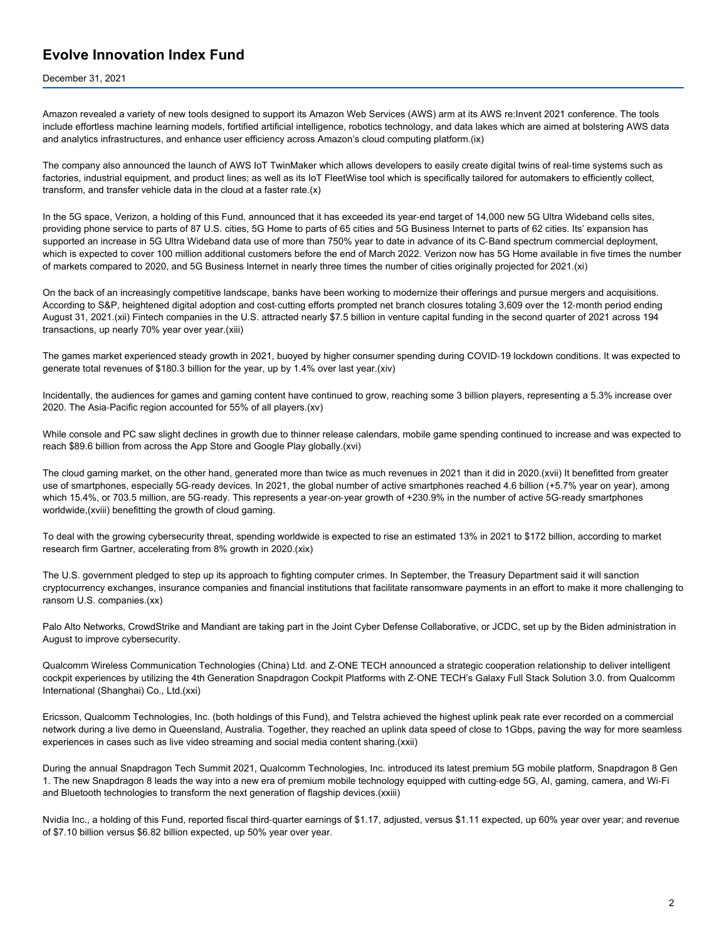December 31, 2021

Amazon revealed a variety of new tools designed to support its Amazon Web Services (AWS) arm at its AWS re:Invent 2021 conference. The tools include effortless machine learning models, fortified artificial intelligence, robotics technology, and data lakes which are aimed at bolstering AWS data and analytics infrastructures, and enhance user efficiency across Amazon's cloud computing platform.(ix)

The company also announced the launch of AWS IoT TwinMaker which allows developers to easily create digital twins of real-time systems such as factories, industrial equipment, and product lines; as well as its IoT FleetWise tool which is specifically tailored for automakers to efficiently collect, transform, and transfer vehicle data in the cloud at a faster rate.(x)

In the 5G space, Verizon, a holding of this Fund, announced that it has exceeded its year-end target of 14,000 new 5G Ultra Wideband cells sites, providing phone service to parts of 87 U.S. cities, 5G Home to parts of 65 cities and 5G Business Internet to parts of 62 cities. Its' expansion has supported an increase in 5G Ultra Wideband data use of more than 750% year to date in advance of its C-Band spectrum commercial deployment, which is expected to cover 100 million additional customers before the end of March 2022. Verizon now has 5G Home available in five times the number of markets compared to 2020, and 5G Business Internet in nearly three times the number of cities originally projected for 2021.(xi)

On the back of an increasingly competitive landscape, banks have been working to modernize their offerings and pursue mergers and acquisitions. According to S&P, heightened digital adoption and cost‑cutting efforts prompted net branch closures totaling 3,609 over the 12‑month period ending August 31, 2021.(xii) Fintech companies in the U.S. attracted nearly \$7.5 billion in venture capital funding in the second quarter of 2021 across 194 transactions, up nearly 70% year over year.(xiii)

The games market experienced steady growth in 2021, buoyed by higher consumer spending during COVID‑19 lockdown conditions. It was expected to generate total revenues of \$180.3 billion for the year, up by 1.4% over last year.(xiv)

Incidentally, the audiences for games and gaming content have continued to grow, reaching some 3 billion players, representing a 5.3% increase over 2020. The Asia‑Pacific region accounted for 55% of all players.(xv)

While console and PC saw slight declines in growth due to thinner release calendars, mobile game spending continued to increase and was expected to reach \$89.6 billion from across the App Store and Google Play globally.(xvi)

The cloud gaming market, on the other hand, generated more than twice as much revenues in 2021 than it did in 2020.(xvii) It benefitted from greater use of smartphones, especially 5G-ready devices. In 2021, the global number of active smartphones reached 4.6 billion (+5.7% year on year), among which 15.4%, or 703.5 million, are 5G-ready. This represents a year-on-year growth of +230.9% in the number of active 5G-ready smartphones worldwide,(xviii) benefitting the growth of cloud gaming.

To deal with the growing cybersecurity threat, spending worldwide is expected to rise an estimated 13% in 2021 to \$172 billion, according to market research firm Gartner, accelerating from 8% growth in 2020.(xix)

The U.S. government pledged to step up its approach to fighting computer crimes. In September, the Treasury Department said it will sanction cryptocurrency exchanges, insurance companies and financial institutions that facilitate ransomware payments in an effort to make it more challenging to ransom U.S. companies.(xx)

Palo Alto Networks, CrowdStrike and Mandiant are taking part in the Joint Cyber Defense Collaborative, or JCDC, set up by the Biden administration in August to improve cybersecurity.

Qualcomm Wireless Communication Technologies (China) Ltd. and Z‑ONE TECH announced a strategic cooperation relationship to deliver intelligent cockpit experiences by utilizing the 4th Generation Snapdragon Cockpit Platforms with Z‑ONE TECH's Galaxy Full Stack Solution 3.0. from Qualcomm International (Shanghai) Co., Ltd.(xxi)

Ericsson, Qualcomm Technologies, Inc. (both holdings of this Fund), and Telstra achieved the highest uplink peak rate ever recorded on a commercial network during a live demo in Queensland, Australia. Together, they reached an uplink data speed of close to 1Gbps, paving the way for more seamless experiences in cases such as live video streaming and social media content sharing.(xxii)

During the annual Snapdragon Tech Summit 2021, Qualcomm Technologies, Inc. introduced its latest premium 5G mobile platform, Snapdragon 8 Gen 1. The new Snapdragon 8 leads the way into a new era of premium mobile technology equipped with cutting‑edge 5G, AI, gaming, camera, and Wi‑Fi and Bluetooth technologies to transform the next generation of flagship devices.(xxiii)

Nvidia Inc., a holding of this Fund, reported fiscal third‑quarter earnings of \$1.17, adjusted, versus \$1.11 expected, up 60% year over year; and revenue of \$7.10 billion versus \$6.82 billion expected, up 50% year over year.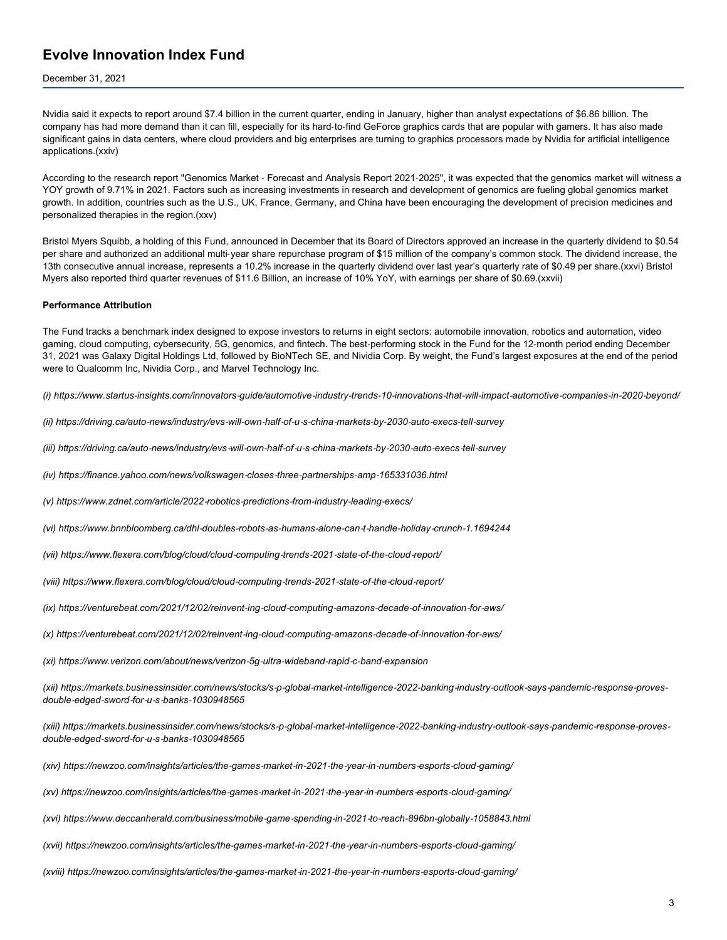#### December 31, 2021

Nvidia said it expects to report around \$7.4 billion in the current quarter, ending in January, higher than analyst expectations of \$6.86 billion. The company has had more demand than it can fill, especially for its hard‑to‑find GeForce graphics cards that are popular with gamers. It has also made significant gains in data centers, where cloud providers and big enterprises are turning to graphics processors made by Nvidia for artificial intelligence applications.(xxiv)

According to the research report "Genomics Market - Forecast and Analysis Report 2021-2025", it was expected that the genomics market will witness a YOY growth of 9.71% in 2021. Factors such as increasing investments in research and development of genomics are fueling global genomics market growth. In addition, countries such as the U.S., UK, France, Germany, and China have been encouraging the development of precision medicines and personalized therapies in the region.(xxv)

Bristol Myers Squibb, a holding of this Fund, announced in December that its Board of Directors approved an increase in the quarterly dividend to \$0.54 per share and authorized an additional multi‑year share repurchase program of \$15 million of the company's common stock. The dividend increase, the 13th consecutive annual increase, represents a 10.2% increase in the quarterly dividend over last year's quarterly rate of \$0.49 per share.(xxvi) Bristol Myers also reported third quarter revenues of \$11.6 Billion, an increase of 10% YoY, with earnings per share of \$0.69.(xxvii)

#### **Performance Attribution**

The Fund tracks a benchmark index designed to expose investors to returns in eight sectors: automobile innovation, robotics and automation, video gaming, cloud computing, cybersecurity, 5G, genomics, and fintech. The best-performing stock in the Fund for the 12-month period ending December 31, 2021 was Galaxy Digital Holdings Ltd, followed by BioNTech SE, and Nividia Corp. By weight, the Fund's largest exposures at the end of the period were to Qualcomm Inc, Nividia Corp., and Marvel Technology Inc.

(i) https://www.startus-insights.com/innovators-guide/automotive-industry-trends-10-innovations-that-will-impact-automotive-companies-in-2020-beyond/

(ii) https://driving.ca/auto-news/industry/evs-will-own-half-of-u-s-china-markets-by-2030-auto-execs-tell-survey

(iii) https://driving.ca/auto-news/industry/evs-will-own-half-of-u-s-china-markets-by-2030-auto-execs-tell-survey

*(iv) https://finance.yahoo.com/news/volkswagen‑closes‑three‑partnerships‑amp‑165331036.html*

*(v) https://www.zdnet.com/article/2022‑robotics‑predictions‑from‑industry‑leading‑execs/*

(vi) https://www.bnnbloomberg.ca/dhl-doubles-robots-as-humans-alone-can-t-handle-holiday-crunch-1.1694244

*(vii) https://www.flexera.com/blog/cloud/cloud‑computing‑trends‑2021‑state‑of‑the‑cloud‑report/*

*(viii) https://www.flexera.com/blog/cloud/cloud‑computing‑trends‑2021‑state‑of‑the‑cloud‑report/*

(ix) https://venturebeat.com/2021/12/02/reinvent-ing-cloud-computing-amazons-decade-of-innovation-for-aws/

(x) https://venturebeat.com/2021/12/02/reinvent-ing-cloud-computing-amazons-decade-of-innovation-for-aws/

*(xi) https://www.verizon.com/about/news/verizon‑5g‑ultra‑wideband‑rapid‑c‑band‑expansion*

(xii) https://markets.businessinsider.com/news/stocks/s-p-global-market-intelligence-2022-banking-industry-outlook-says-pandemic-response-proves*double‑edged‑sword‑for‑u‑s‑banks‑1030948565*

(xiii) https://markets.businessinsider.com/news/stocks/s-p-global-market-intelligence-2022-banking-industry-outlook-says-pandemic-response-proves*double‑edged‑sword‑for‑u‑s‑banks‑1030948565*

(xiv) https://newzoo.com/insights/articles/the-games-market-in-2021-the-year-in-numbers-esports-cloud-gaming/

(xv) https://newzoo.com/insights/articles/the-games-market-in-2021-the-year-in-numbers-esports-cloud-gaming/

(xvi) https://www.deccanherald.com/business/mobile-game-spending-in-2021-to-reach-896bn-globally-1058843.html

(xvii) https://newzoo.com/insights/articles/the-games-market-in-2021-the-year-in-numbers-esports-cloud-gaming/

(xviii) https://newzoo.com/insights/articles/the-games-market-in-2021-the-year-in-numbers-esports-cloud-gaming/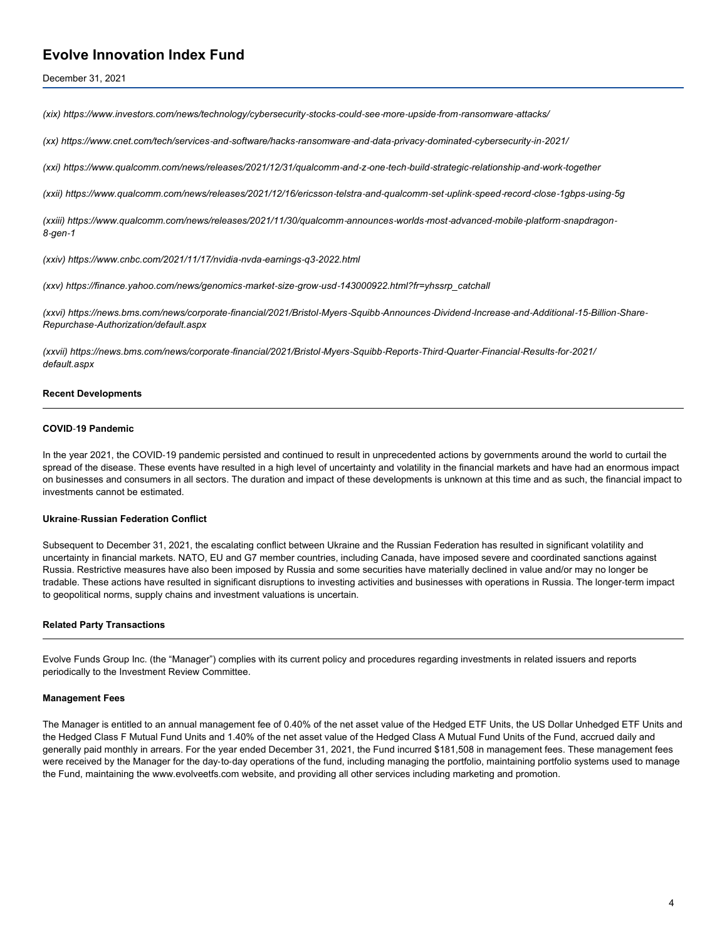December 31, 2021

(xix) https://www.investors.com/news/technology/cybersecurity-stocks-could-see-more-upside-from-ransomware-attacks/

(xx) https://www.cnet.com/tech/services-and-software/hacks-ransomware-and-data-privacy-dominated-cybersecurity-in-2021/

(xxi) https://www.qualcomm.com/news/releases/2021/12/31/qualcomm-and-z-one-tech-build-strategic-relationship-and-work-together

(xxii) https://www.qualcomm.com/news/releases/2021/12/16/ericsson-telstra-and-qualcomm-set-uplink-speed-record-close-1gbps-using-5g

(xxiii) https://www.qualcomm.com/news/releases/2021/11/30/qualcomm-announces-worlds-most-advanced-mobile-platform-snapdragon-*8‑gen‑1*

*(xxiv) https://www.cnbc.com/2021/11/17/nvidia‑nvda‑earnings‑q3‑2022.html*

*(xxv) https://finance.yahoo.com/news/genomics‑market‑size‑grow‑usd‑143000922.html?fr=yhssrp\_catchall*

(xxvi) https://news.bms.com/news/corporate-financial/2021/Bristol-Myers-Squibb-Announces-Dividend-Increase-and-Additional-15-Billion-Share-*Repurchase‑Authorization/default.aspx*

(xxvii) https://news.bms.com/news/corporate-financial/2021/Bristol-Myers-Squibb-Reports-Third-Quarter-Financial-Results-for-2021/ *default.aspx*

#### **Recent Developments**

#### **COVID**‑**19 Pandemic**

In the year 2021, the COVID-19 pandemic persisted and continued to result in unprecedented actions by governments around the world to curtail the spread of the disease. These events have resulted in a high level of uncertainty and volatility in the financial markets and have had an enormous impact on businesses and consumers in all sectors. The duration and impact of these developments is unknown at this time and as such, the financial impact to investments cannot be estimated.

#### **Ukraine**‑**Russian Federation Conflict**

Subsequent to December 31, 2021, the escalating conflict between Ukraine and the Russian Federation has resulted in significant volatility and uncertainty in financial markets. NATO, EU and G7 member countries, including Canada, have imposed severe and coordinated sanctions against Russia. Restrictive measures have also been imposed by Russia and some securities have materially declined in value and/or may no longer be tradable. These actions have resulted in significant disruptions to investing activities and businesses with operations in Russia. The longer‑term impact to geopolitical norms, supply chains and investment valuations is uncertain.

#### **Related Party Transactions**

Evolve Funds Group Inc. (the "Manager") complies with its current policy and procedures regarding investments in related issuers and reports periodically to the Investment Review Committee.

#### **Management Fees**

The Manager is entitled to an annual management fee of 0.40% of the net asset value of the Hedged ETF Units, the US Dollar Unhedged ETF Units and the Hedged Class F Mutual Fund Units and 1.40% of the net asset value of the Hedged Class A Mutual Fund Units of the Fund, accrued daily and generally paid monthly in arrears. For the year ended December 31, 2021, the Fund incurred \$181,508 in management fees. These management fees were received by the Manager for the day-to-day operations of the fund, including managing the portfolio, maintaining portfolio systems used to manage the Fund, maintaining the www.evolveetfs.com website, and providing all other services including marketing and promotion.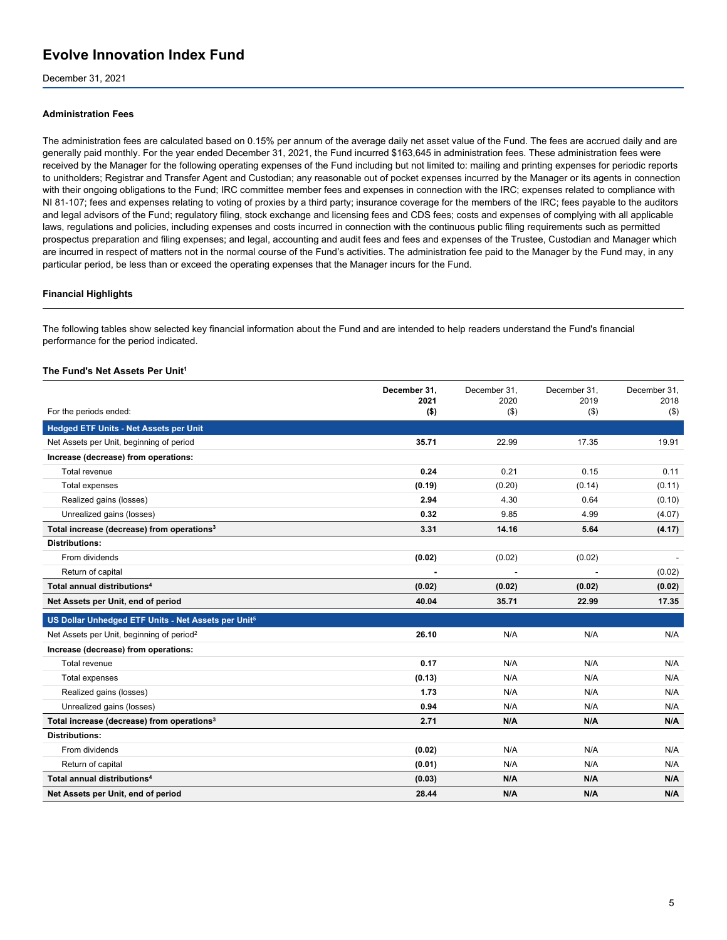December 31, 2021

#### **Administration Fees**

The administration fees are calculated based on 0.15% per annum of the average daily net asset value of the Fund. The fees are accrued daily and are generally paid monthly. For the year ended December 31, 2021, the Fund incurred \$163,645 in administration fees. These administration fees were received by the Manager for the following operating expenses of the Fund including but not limited to: mailing and printing expenses for periodic reports to unitholders; Registrar and Transfer Agent and Custodian; any reasonable out of pocket expenses incurred by the Manager or its agents in connection with their ongoing obligations to the Fund; IRC committee member fees and expenses in connection with the IRC; expenses related to compliance with NI 81‑107; fees and expenses relating to voting of proxies by a third party; insurance coverage for the members of the IRC; fees payable to the auditors and legal advisors of the Fund; regulatory filing, stock exchange and licensing fees and CDS fees; costs and expenses of complying with all applicable laws, regulations and policies, including expenses and costs incurred in connection with the continuous public filing requirements such as permitted prospectus preparation and filing expenses; and legal, accounting and audit fees and fees and expenses of the Trustee, Custodian and Manager which are incurred in respect of matters not in the normal course of the Fund's activities. The administration fee paid to the Manager by the Fund may, in any particular period, be less than or exceed the operating expenses that the Manager incurs for the Fund.

#### **Financial Highlights**

The following tables show selected key financial information about the Fund and are intended to help readers understand the Fund's financial performance for the period indicated.

#### **The Fund's Net Assets Per Unit<sup>1</sup>**

|                                                                 | December 31.<br>2021 | December 31.<br>2020 | December 31.<br>2019 | December 31.<br>2018 |
|-----------------------------------------------------------------|----------------------|----------------------|----------------------|----------------------|
| For the periods ended:                                          | $($ \$)              | $($ \$)              | (3)                  | $($ \$)              |
| <b>Hedged ETF Units - Net Assets per Unit</b>                   |                      |                      |                      |                      |
| Net Assets per Unit, beginning of period                        | 35.71                | 22.99                | 17.35                | 19.91                |
| Increase (decrease) from operations:                            |                      |                      |                      |                      |
| Total revenue                                                   | 0.24                 | 0.21                 | 0.15                 | 0.11                 |
| Total expenses                                                  | (0.19)               | (0.20)               | (0.14)               | (0.11)               |
| Realized gains (losses)                                         | 2.94                 | 4.30                 | 0.64                 | (0.10)               |
| Unrealized gains (losses)                                       | 0.32                 | 9.85                 | 4.99                 | (4.07)               |
| Total increase (decrease) from operations <sup>3</sup>          | 3.31                 | 14.16                | 5.64                 | (4.17)               |
| <b>Distributions:</b>                                           |                      |                      |                      |                      |
| From dividends                                                  | (0.02)               | (0.02)               | (0.02)               |                      |
| Return of capital                                               |                      |                      |                      | (0.02)               |
| Total annual distributions <sup>4</sup>                         | (0.02)               | (0.02)               | (0.02)               | (0.02)               |
| Net Assets per Unit, end of period                              | 40.04                | 35.71                | 22.99                | 17.35                |
| US Dollar Unhedged ETF Units - Net Assets per Unit <sup>5</sup> |                      |                      |                      |                      |
| Net Assets per Unit, beginning of period <sup>2</sup>           | 26.10                | N/A                  | N/A                  | N/A                  |
| Increase (decrease) from operations:                            |                      |                      |                      |                      |
| Total revenue                                                   | 0.17                 | N/A                  | N/A                  | N/A                  |
| Total expenses                                                  | (0.13)               | N/A                  | N/A                  | N/A                  |
| Realized gains (losses)                                         | 1.73                 | N/A                  | N/A                  | N/A                  |
| Unrealized gains (losses)                                       | 0.94                 | N/A                  | N/A                  | N/A                  |
| Total increase (decrease) from operations <sup>3</sup>          | 2.71                 | N/A                  | N/A                  | N/A                  |
| <b>Distributions:</b>                                           |                      |                      |                      |                      |
| From dividends                                                  | (0.02)               | N/A                  | N/A                  | N/A                  |
| Return of capital                                               | (0.01)               | N/A                  | N/A                  | N/A                  |
| Total annual distributions <sup>4</sup>                         | (0.03)               | N/A                  | N/A                  | N/A                  |
| Net Assets per Unit, end of period                              | 28.44                | N/A                  | N/A                  | N/A                  |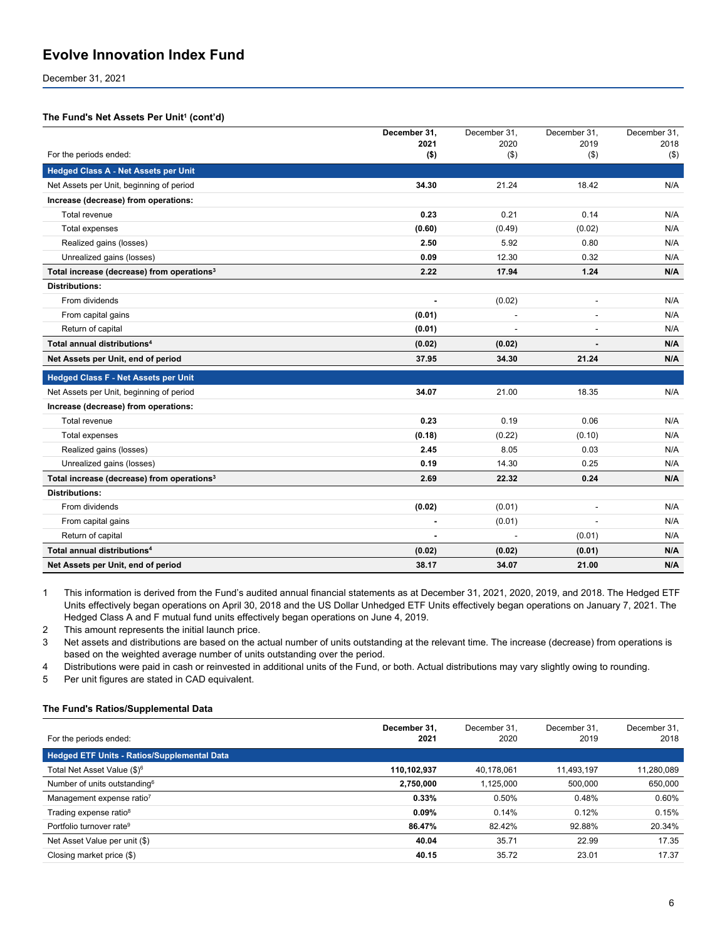December 31, 2021

#### **The Fund's Net Assets Per Unit<sup>1</sup> (cont'd)**

|                                                        | December 31, | December 31, | December 31,             | December 31, |
|--------------------------------------------------------|--------------|--------------|--------------------------|--------------|
| For the periods ended:                                 | 2021         | 2020         | 2019                     | 2018         |
|                                                        | $($ \$)      | $($ \$)      | $($ \$)                  | $($ \$)      |
| <b>Hedged Class A - Net Assets per Unit</b>            |              |              |                          |              |
| Net Assets per Unit, beginning of period               | 34.30        | 21.24        | 18.42                    | N/A          |
| Increase (decrease) from operations:                   |              |              |                          |              |
| Total revenue                                          | 0.23         | 0.21         | 0.14                     | N/A          |
| Total expenses                                         | (0.60)       | (0.49)       | (0.02)                   | N/A          |
| Realized gains (losses)                                | 2.50         | 5.92         | 0.80                     | N/A          |
| Unrealized gains (losses)                              | 0.09         | 12.30        | 0.32                     | N/A          |
| Total increase (decrease) from operations <sup>3</sup> | 2.22         | 17.94        | 1.24                     | N/A          |
| <b>Distributions:</b>                                  |              |              |                          |              |
| From dividends                                         |              | (0.02)       | $\blacksquare$           | N/A          |
| From capital gains                                     | (0.01)       |              | $\overline{\phantom{a}}$ | N/A          |
| Return of capital                                      | (0.01)       |              | $\overline{\phantom{a}}$ | N/A          |
| Total annual distributions <sup>4</sup>                | (0.02)       | (0.02)       |                          | N/A          |
| Net Assets per Unit, end of period                     | 37.95        | 34.30        | 21.24                    | N/A          |
| <b>Hedged Class F - Net Assets per Unit</b>            |              |              |                          |              |
| Net Assets per Unit, beginning of period               | 34.07        | 21.00        | 18.35                    | N/A          |
| Increase (decrease) from operations:                   |              |              |                          |              |
| Total revenue                                          | 0.23         | 0.19         | 0.06                     | N/A          |
| Total expenses                                         | (0.18)       | (0.22)       | (0.10)                   | N/A          |
| Realized gains (losses)                                | 2.45         | 8.05         | 0.03                     | N/A          |
| Unrealized gains (losses)                              | 0.19         | 14.30        | 0.25                     | N/A          |
| Total increase (decrease) from operations <sup>3</sup> | 2.69         | 22.32        | 0.24                     | N/A          |
| <b>Distributions:</b>                                  |              |              |                          |              |
| From dividends                                         | (0.02)       | (0.01)       |                          | N/A          |
| From capital gains                                     |              | (0.01)       |                          | N/A          |
| Return of capital                                      |              |              | (0.01)                   | N/A          |
| Total annual distributions <sup>4</sup>                | (0.02)       | (0.02)       | (0.01)                   | N/A          |
| Net Assets per Unit, end of period                     | 38.17        | 34.07        | 21.00                    | N/A          |

1 This information is derived from the Fund's audited annual financial statements as at December 31, 2021, 2020, 2019, and 2018. The Hedged ETF Units effectively began operations on April 30, 2018 and the US Dollar Unhedged ETF Units effectively began operations on January 7, 2021. The Hedged Class A and F mutual fund units effectively began operations on June 4, 2019.

2 This amount represents the initial launch price.

3 Net assets and distributions are based on the actual number of units outstanding at the relevant time. The increase (decrease) from operations is based on the weighted average number of units outstanding over the period.

4 Distributions were paid in cash or reinvested in additional units of the Fund, or both. Actual distributions may vary slightly owing to rounding.

5 Per unit figures are stated in CAD equivalent.

#### **The Fund's Ratios/Supplemental Data**

|                                                    | December 31. | December 31. | December 31. | December 31. |
|----------------------------------------------------|--------------|--------------|--------------|--------------|
| For the periods ended:                             | 2021         | 2020         | 2019         | 2018         |
| <b>Hedged ETF Units - Ratios/Supplemental Data</b> |              |              |              |              |
| Total Net Asset Value (\$) <sup>6</sup>            | 110,102,937  | 40,178,061   | 11,493,197   | 11,280,089   |
| Number of units outstanding <sup>6</sup>           | 2,750,000    | 1.125.000    | 500,000      | 650,000      |
| Management expense ratio <sup>7</sup>              | 0.33%        | 0.50%        | 0.48%        | 0.60%        |
| Trading expense ratio <sup>8</sup>                 | 0.09%        | 0.14%        | 0.12%        | 0.15%        |
| Portfolio turnover rate <sup>9</sup>               | 86.47%       | 82.42%       | 92.88%       | 20.34%       |
| Net Asset Value per unit (\$)                      | 40.04        | 35.71        | 22.99        | 17.35        |
| Closing market price (\$)                          | 40.15        | 35.72        | 23.01        | 17.37        |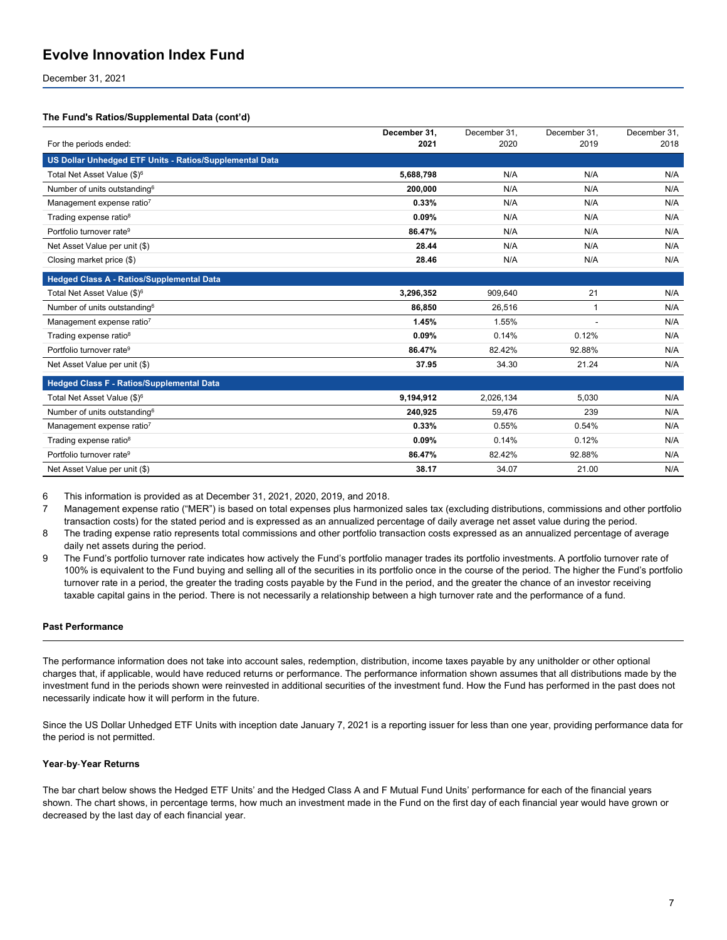December 31, 2021

#### **The Fund's Ratios/Supplemental Data (cont'd)**

|                                                         | December 31. | December 31. | December 31.   | December 31. |
|---------------------------------------------------------|--------------|--------------|----------------|--------------|
| For the periods ended:                                  | 2021         | 2020         | 2019           | 2018         |
| US Dollar Unhedged ETF Units - Ratios/Supplemental Data |              |              |                |              |
| Total Net Asset Value (\$) <sup>6</sup>                 | 5.688.798    | N/A          | N/A            | N/A          |
| Number of units outstanding <sup>6</sup>                | 200,000      | N/A          | N/A            | N/A          |
| Management expense ratio <sup>7</sup>                   | 0.33%        | N/A          | N/A            | N/A          |
| Trading expense ratio <sup>8</sup>                      | 0.09%        | N/A          | N/A            | N/A          |
| Portfolio turnover rate <sup>9</sup>                    | 86.47%       | N/A          | N/A            | N/A          |
| Net Asset Value per unit (\$)                           | 28.44        | N/A          | N/A            | N/A          |
| Closing market price (\$)                               | 28.46        | N/A          | N/A            | N/A          |
| <b>Hedged Class A - Ratios/Supplemental Data</b>        |              |              |                |              |
| Total Net Asset Value (\$) <sup>6</sup>                 | 3,296,352    | 909,640      | 21             | N/A          |
| Number of units outstanding <sup>6</sup>                | 86,850       | 26,516       | $\overline{1}$ | N/A          |
| Management expense ratio <sup>7</sup>                   | 1.45%        | 1.55%        |                | N/A          |
| Trading expense ratio <sup>8</sup>                      | 0.09%        | 0.14%        | 0.12%          | N/A          |
| Portfolio turnover rate <sup>9</sup>                    | 86.47%       | 82.42%       | 92.88%         | N/A          |
| Net Asset Value per unit (\$)                           | 37.95        | 34.30        | 21.24          | N/A          |
| <b>Hedged Class F - Ratios/Supplemental Data</b>        |              |              |                |              |
| Total Net Asset Value (\$) <sup>6</sup>                 | 9.194.912    | 2,026,134    | 5.030          | N/A          |
| Number of units outstanding <sup>6</sup>                | 240,925      | 59,476       | 239            | N/A          |
| Management expense ratio7                               | 0.33%        | 0.55%        | 0.54%          | N/A          |
| Trading expense ratio <sup>8</sup>                      | 0.09%        | 0.14%        | 0.12%          | N/A          |
| Portfolio turnover rate <sup>9</sup>                    | 86.47%       | 82.42%       | 92.88%         | N/A          |
| Net Asset Value per unit (\$)                           | 38.17        | 34.07        | 21.00          | N/A          |

6 This information is provided as at December 31, 2021, 2020, 2019, and 2018.

7 Management expense ratio ("MER") is based on total expenses plus harmonized sales tax (excluding distributions, commissions and other portfolio transaction costs) for the stated period and is expressed as an annualized percentage of daily average net asset value during the period.

8 The trading expense ratio represents total commissions and other portfolio transaction costs expressed as an annualized percentage of average daily net assets during the period.

9 The Fund's portfolio turnover rate indicates how actively the Fund's portfolio manager trades its portfolio investments. A portfolio turnover rate of 100% is equivalent to the Fund buying and selling all of the securities in its portfolio once in the course of the period. The higher the Fund's portfolio turnover rate in a period, the greater the trading costs payable by the Fund in the period, and the greater the chance of an investor receiving taxable capital gains in the period. There is not necessarily a relationship between a high turnover rate and the performance of a fund.

#### **Past Performance**

The performance information does not take into account sales, redemption, distribution, income taxes payable by any unitholder or other optional charges that, if applicable, would have reduced returns or performance. The performance information shown assumes that all distributions made by the investment fund in the periods shown were reinvested in additional securities of the investment fund. How the Fund has performed in the past does not necessarily indicate how it will perform in the future.

Since the US Dollar Unhedged ETF Units with inception date January 7, 2021 is a reporting issuer for less than one year, providing performance data for the period is not permitted.

#### **Year**‑**by**‑**Year Returns**

The bar chart below shows the Hedged ETF Units' and the Hedged Class A and F Mutual Fund Units' performance for each of the financial years shown. The chart shows, in percentage terms, how much an investment made in the Fund on the first day of each financial year would have grown or decreased by the last day of each financial year.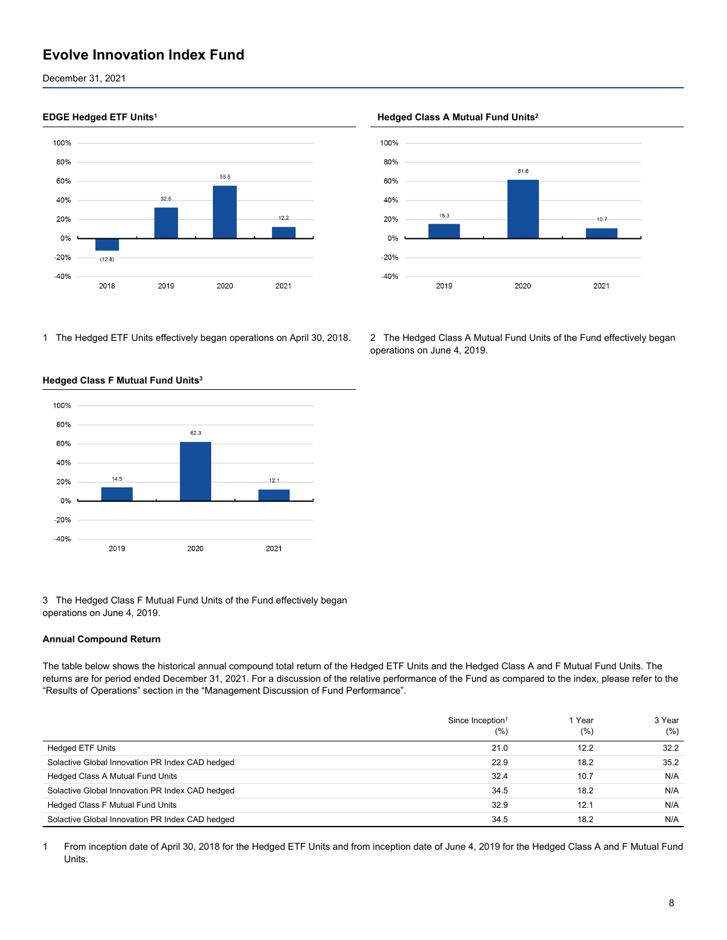December 31, 2021



1 The Hedged ETF Units effectively began operations on April 30, 2018. 2 The Hedged Class A Mutual Fund Units of the Fund effectively began



#### **Hedged Class F Mutual Fund Units<sup>3</sup>**

3 The Hedged Class F Mutual Fund Units of the Fund effectively began operations on June 4, 2019.

#### **Annual Compound Return**

The table below shows the historical annual compound total return of the Hedged ETF Units and the Hedged Class A and F Mutual Fund Units. The returns are for period ended December 31, 2021. For a discussion of the relative performance of the Fund as compared to the index, please refer to the "Results of Operations" section in the "Management Discussion of Fund Performance".

|                                                 | Since Inception <sup>1</sup><br>(%) | Year<br>(%) | 3 Year<br>(% ) |
|-------------------------------------------------|-------------------------------------|-------------|----------------|
| <b>Hedged ETF Units</b>                         | 21.0                                | 12.2        | 32.2           |
| Solactive Global Innovation PR Index CAD hedged | 22.9                                | 18.2        | 35.2           |
| Hedged Class A Mutual Fund Units                | 32.4                                | 10.7        | N/A            |
| Solactive Global Innovation PR Index CAD hedged | 34.5                                | 18.2        | N/A            |
| Hedged Class F Mutual Fund Units                | 32.9                                | 12.1        | N/A            |
| Solactive Global Innovation PR Index CAD hedged | 34.5                                | 18.2        | N/A            |

1 From inception date of April 30, 2018 for the Hedged ETF Units and from inception date of June 4, 2019 for the Hedged Class A and F Mutual Fund Units.

#### **EDGE Hedged ETF Units<sup>1</sup> Hedged Class A Mutual Fund Units<sup>2</sup>**



operations on June 4, 2019.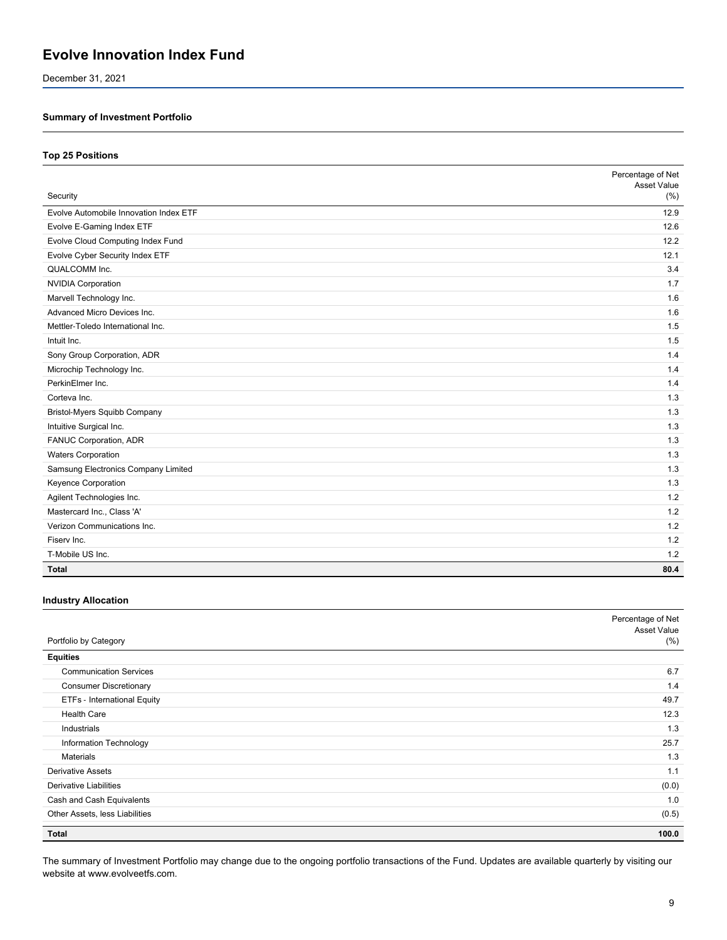December 31, 2021

### **Summary of Investment Portfolio**

#### **Top 25 Positions**

|                                        | Percentage of Net<br>Asset Value |
|----------------------------------------|----------------------------------|
| Security                               | (%)                              |
| Evolve Automobile Innovation Index ETF | 12.9                             |
| Evolve E-Gaming Index ETF              | 12.6                             |
| Evolve Cloud Computing Index Fund      | 12.2                             |
| Evolve Cyber Security Index ETF        | 12.1                             |
| QUALCOMM Inc.                          | 3.4                              |
| <b>NVIDIA Corporation</b>              | 1.7                              |
| Marvell Technology Inc.                | 1.6                              |
| Advanced Micro Devices Inc.            | 1.6                              |
| Mettler-Toledo International Inc.      | 1.5                              |
| Intuit Inc.                            | 1.5                              |
| Sony Group Corporation, ADR            | 1.4                              |
| Microchip Technology Inc.              | 1.4                              |
| PerkinElmer Inc.                       | 1.4                              |
| Corteva Inc.                           | 1.3                              |
| <b>Bristol-Myers Squibb Company</b>    | 1.3                              |
| Intuitive Surgical Inc.                | 1.3                              |
| FANUC Corporation, ADR                 | 1.3                              |
| <b>Waters Corporation</b>              | 1.3                              |
| Samsung Electronics Company Limited    | 1.3                              |
| Keyence Corporation                    | 1.3                              |
| Agilent Technologies Inc.              | 1.2                              |
| Mastercard Inc., Class 'A'             | 1.2                              |
| Verizon Communications Inc.            | 1.2                              |
| Fisery Inc.                            | 1.2                              |
| T-Mobile US Inc.                       | 1.2                              |
| <b>Total</b>                           | 80.4                             |

#### **Industry Allocation**

|                                    | Percentage of Net<br>Asset Value |
|------------------------------------|----------------------------------|
| Portfolio by Category              | $(\% )$                          |
| <b>Equities</b>                    |                                  |
| <b>Communication Services</b>      | 6.7                              |
| <b>Consumer Discretionary</b>      | 1.4                              |
| <b>ETFs - International Equity</b> | 49.7                             |
| <b>Health Care</b>                 | 12.3                             |
| Industrials                        | 1.3                              |
| Information Technology             | 25.7                             |
| <b>Materials</b>                   | 1.3                              |
| <b>Derivative Assets</b>           | 1.1                              |
| <b>Derivative Liabilities</b>      | (0.0)                            |
| Cash and Cash Equivalents          | 1.0                              |
| Other Assets, less Liabilities     | (0.5)                            |
| <b>Total</b>                       | 100.0                            |

The summary of Investment Portfolio may change due to the ongoing portfolio transactions of the Fund. Updates are available quarterly by visiting our website at www.evolveetfs.com.